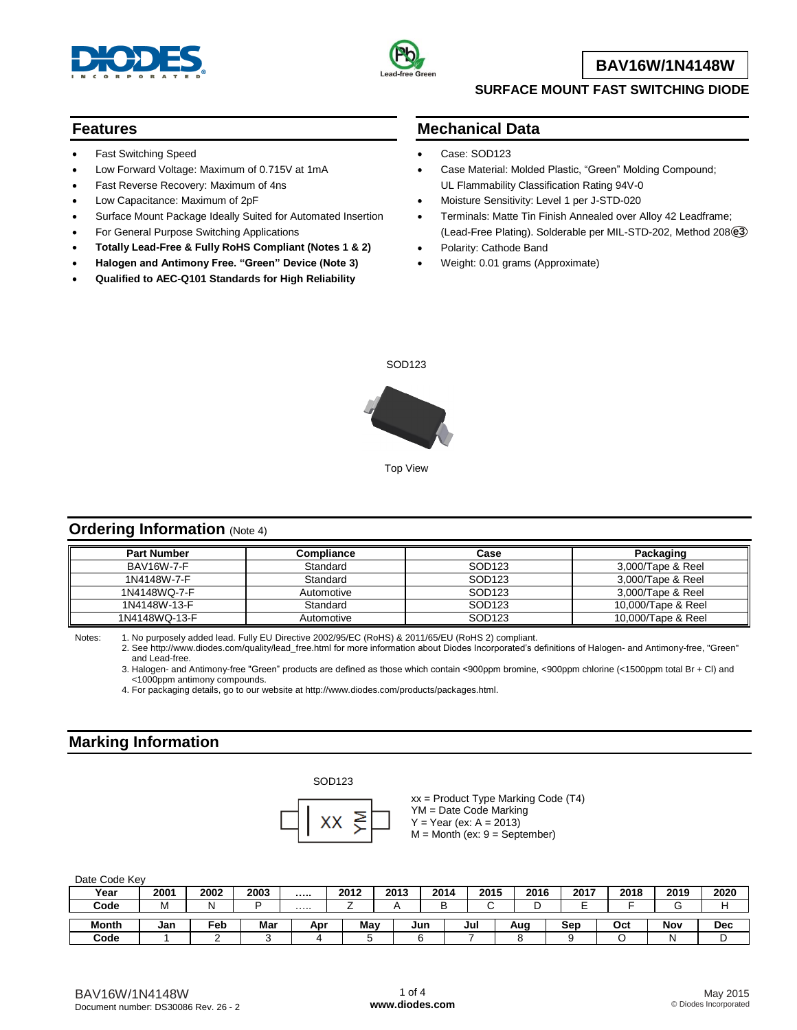



### **BAV16W/1N4148W**

#### **SURFACE MOUNT FAST SWITCHING DIODE**

#### **Features**

- Fast Switching Speed
- Low Forward Voltage: Maximum of 0.715V at 1mA
- Fast Reverse Recovery: Maximum of 4ns
- Low Capacitance: Maximum of 2pF
- Surface Mount Package Ideally Suited for Automated Insertion
- For General Purpose Switching Applications
- **Totally Lead-Free & Fully RoHS Compliant (Notes 1 & 2)**
- **Halogen and Antimony Free. "Green" Device (Note 3)**
- **Qualified to AEC-Q101 Standards for High Reliability**

#### **Mechanical Data**

- Case: SOD123
- Case Material: Molded Plastic, "Green" Molding Compound; UL Flammability Classification Rating 94V-0
- Moisture Sensitivity: Level 1 per J-STD-020
- Terminals: Matte Tin Finish Annealed over Alloy 42 Leadframe; (Lead-Free Plating). Solderable per MIL-STD-202, Method 208 **e3**
- Polarity: Cathode Band
- Weight: 0.01 grams (Approximate)



Top View

#### **Ordering Information (Note 4)**

| <b>Part Number</b> | Compliance | Case               | Packaging          |
|--------------------|------------|--------------------|--------------------|
| <b>BAV16W-7-F</b>  | Standard   | SOD <sub>123</sub> | 3,000/Tape & Reel  |
| 1N4148W-7-F        | Standard   | SOD <sub>123</sub> | 3,000/Tape & Reel  |
| 1N4148WQ-7-F       | Automotive | SOD123             | 3,000/Tape & Reel  |
| 1N4148W-13-F       | Standard   | SOD123             | 10,000/Tape & Reel |
| 1N4148WQ-13-F      | Automotive | SOD123             | 10,000/Tape & Reel |

Notes: 1. No purposely added lead. Fully EU Directive 2002/95/EC (RoHS) & 2011/65/EU (RoHS 2) compliant.

2. See [http://www.diodes.com/quality/lead\\_free.html](http://www.diodes.com/quality/lead_free.html) for more information about Diodes Incorporated's definitions of Halogen- and Antimony-free, "Green" and Lead-free.

3. Halogen- and Antimony-free "Green" products are defined as those which contain <900ppm bromine, <900ppm chlorine (<1500ppm total Br + Cl) and <1000ppm antimony compounds.

4. For packaging details, go to our website at [http://www.diodes.com/products/packages.html.](http://www.diodes.com/products/packages.html)

#### **Marking Information**





xx = Product Type Marking Code (T4) YM = Date Code Marking  $Y = Year (ex: A = 2013)$  $M =$  Month (ex:  $9 =$  September)

Date Code Key

| Year         | 2001 | 2002 | 2003 |     | 2012 | 2013 | 2014 | 2015 | 2016 | 2017   | 2018 | 2019 | 2020 |
|--------------|------|------|------|-----|------|------|------|------|------|--------|------|------|------|
| Code         | м    |      | -    | .   | _    |      |      |      |      | -<br>- |      |      |      |
| <b>Month</b> | Jan  | Feb  | Mar  | Apr | May  |      | Jun  | Jul  | Aug  | Sep    | Ocl  | Nov  | Dec  |
| Code         |      |      |      |     |      |      |      |      |      |        |      |      | ັ    |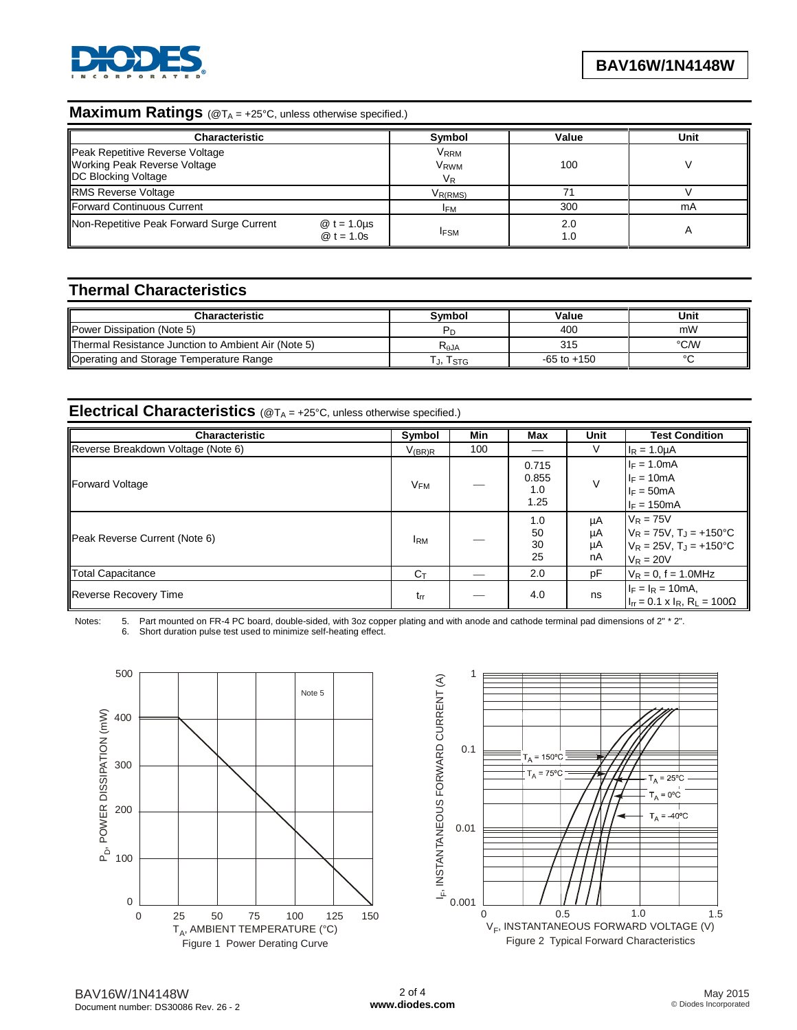

# **Maximum Ratings** (@T<sub>A</sub> = +25°C, unless otherwise specified.)

| <b>Characteristic</b>                                                                                |                                            | Symbol                                | Value      | Unit |
|------------------------------------------------------------------------------------------------------|--------------------------------------------|---------------------------------------|------------|------|
| Peak Repetitive Reverse Voltage<br><b>Working Peak Reverse Voltage</b><br><b>DC Blocking Voltage</b> |                                            | <b>VRRM</b><br>V <sub>RWM</sub><br>VR | 100        |      |
| <b>RMS Reverse Voltage</b>                                                                           |                                            | $V_{R(RMS)}$                          |            |      |
| Forward Continuous Current                                                                           |                                            | <b>IFM</b>                            | 300        | mA   |
| Non-Repetitive Peak Forward Surge Current                                                            | $\textcircled{a}$ t = 1.0µs<br>$@t = 1.0s$ | <b>IFSM</b>                           | 2.0<br>1.0 |      |

### **Thermal Characteristics**

| <b>Characteristic</b>                               | Svmbol            | Value           | Unit   |
|-----------------------------------------------------|-------------------|-----------------|--------|
| Power Dissipation (Note 5)                          |                   | 400             | mW     |
| Thermal Resistance Junction to Ambient Air (Note 5) | K <sub>θ</sub> JA | 315             | °C/W   |
| Operating and Storage Temperature Range             | J, ISTG           | $-65$ to $+150$ | $\sim$ |

#### **Electrical Characteristics** (@T<sup>A</sup> = +25°C, unless otherwise specified.)

| Characteristic                     | Symbol         | Min | Max                           | <b>Unit</b>          | <b>Test Condition</b>                                                                                    |
|------------------------------------|----------------|-----|-------------------------------|----------------------|----------------------------------------------------------------------------------------------------------|
| Reverse Breakdown Voltage (Note 6) | $V_{(BR)R}$    | 100 |                               |                      | $I_R = 1.0 \mu A$                                                                                        |
| Forward Voltage                    | $V_{FM}$       |     | 0.715<br>0.855<br>1.0<br>1.25 |                      | $I_F = 1.0mA$<br>$I_F = 10mA$<br>$I_F = 50mA$<br>$I_F = 150mA$                                           |
| Peak Reverse Current (Note 6)      | <b>IRM</b>     |     | 1.0<br>50<br>30<br>25         | μA<br>μA<br>μA<br>nA | $V_R = 75V$<br>$V_R = 75V$ , $T_J = +150^{\circ}C$<br>$V_R = 25V$ , $T_J = +150^{\circ}C$<br>$V_R = 20V$ |
| Total Capacitance                  | $C_{\text{t}}$ |     | 2.0                           | pF                   | $V_R = 0$ , f = 1.0MHz                                                                                   |
| Reverse Recovery Time              | $t_{rr}$       |     | 4.0                           | ns                   | $I_F = I_R = 10mA,$<br>$I_{rr} = 0.1 \times I_R$ , R <sub>L</sub> = 100 $\Omega$                         |

Notes: 5. Part mounted on FR-4 PC board, double-sided, with 3oz copper plating and with anode and cathode terminal pad dimensions of 2" \* 2".<br>6. Short duration pulse test used to minimize self-heating effect. Short duration pulse test used to minimize self-heating effect.



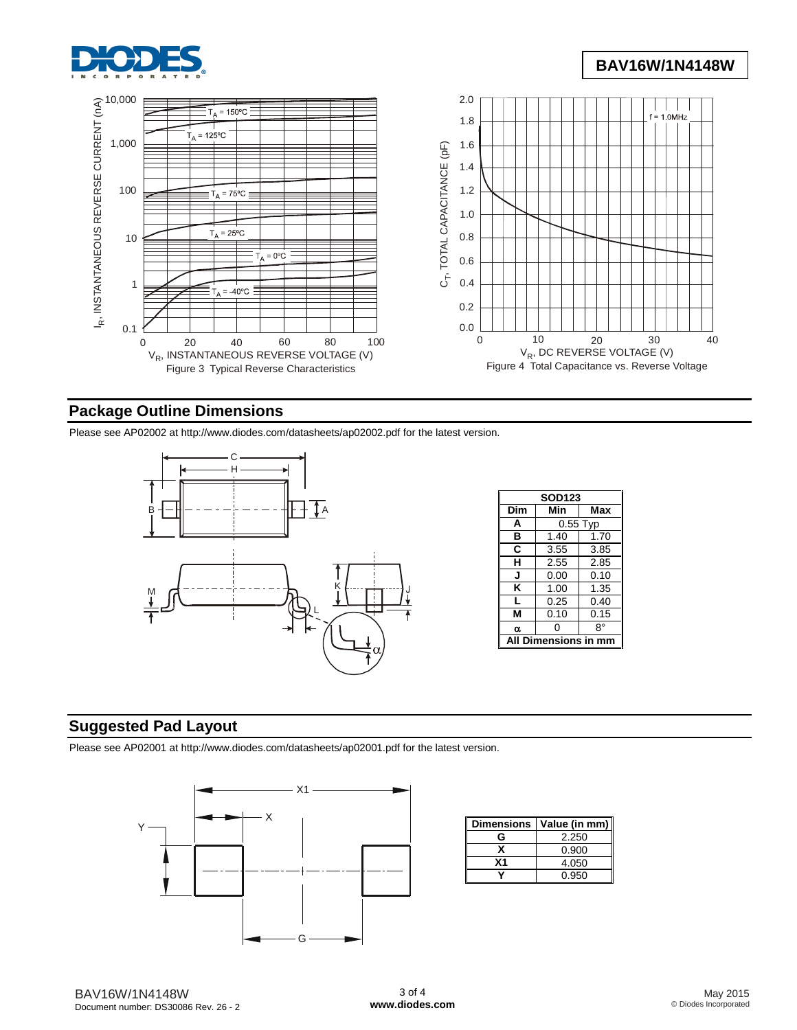

# **BAV16W/1N4148W**



### **Package Outline Dimensions**

Please see AP02002 at [http://www.diodes.com/datasheets/ap02002.pdf fo](http://www.diodes.com/datasheets/ap02002.pdf)r the latest version.



| <b>SOD123</b> |                      |            |  |  |  |
|---------------|----------------------|------------|--|--|--|
| Dim           | Min                  | Max        |  |  |  |
| A             |                      | $0.55$ Typ |  |  |  |
| в             | 1.40                 | 1.70       |  |  |  |
| C             | 3.55                 | 3.85       |  |  |  |
| н             | 2.55                 | 2.85       |  |  |  |
| J             | 0.00                 | 0.10       |  |  |  |
| Κ             | 1.00<br>1.35         |            |  |  |  |
| L             | 0.25                 | 0.40       |  |  |  |
| M             | 0.10                 | 0.15       |  |  |  |
| α             | ŋ                    | 8°         |  |  |  |
| A             | <b>Dimensions in</b> |            |  |  |  |

## **Suggested Pad Layout**

Please see AP02001 at [http://www.diodes.com/datasheets/ap02001.pdf fo](http://www.diodes.com/datasheets/ap02001.pdf)r the latest version.



| <b>Dimensions</b> | Value (in mm) |
|-------------------|---------------|
| G                 | 2.250         |
|                   | 0.900         |
| Χ1                | 4.050         |
|                   | 0.950         |